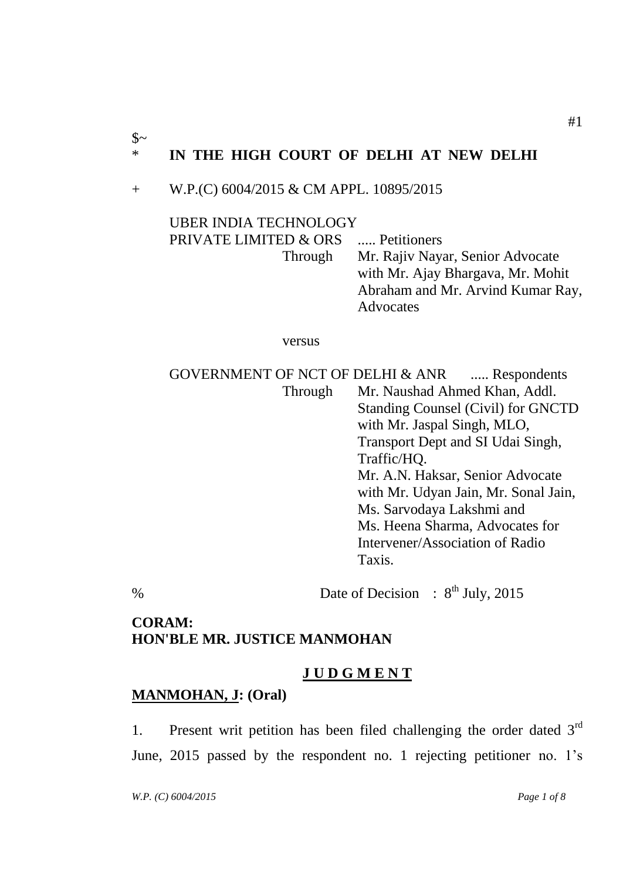# \* **IN THE HIGH COURT OF DELHI AT NEW DELHI**

### + W.P.(C) 6004/2015 & CM APPL. 10895/2015

### UBER INDIA TECHNOLOGY

PRIVATE LIMITED & ORS ..... Petitioners Through Mr. Rajiv Nayar, Senior Advocate with Mr. Ajay Bhargava, Mr. Mohit Abraham and Mr. Arvind Kumar Ray, Advocates

versus

GOVERNMENT OF NCT OF DELHI & ANR ..... Respondents Through Mr. Naushad Ahmed Khan, Addl. Standing Counsel (Civil) for GNCTD with Mr. Jaspal Singh, MLO, Transport Dept and SI Udai Singh, Traffic/HQ. Mr. A.N. Haksar, Senior Advocate with Mr. Udyan Jain, Mr. Sonal Jain, Ms. Sarvodaya Lakshmi and Ms. Heena Sharma, Advocates for Intervener/Association of Radio Taxis.

% Date of Decision : 8<sup>th</sup> July, 2015

## **CORAM: HON'BLE MR. JUSTICE MANMOHAN**

## **J U D G M E N T**

## **[MANMOHAN,](../../../../AppData/Local/Temp/Temp1_2011.zip/2011/Judgment/Local%20Settings/Temp/Temporary%20Directory%202%20for%202010(Mar-16).zip/2010/Judgments/Pending/linux%20data/B.N.CHATURVEDI) J: (Oral)**

1. Present writ petition has been filed challenging the order dated  $3<sup>rd</sup>$ June, 2015 passed by the respondent no. 1 rejecting petitioner no. 1's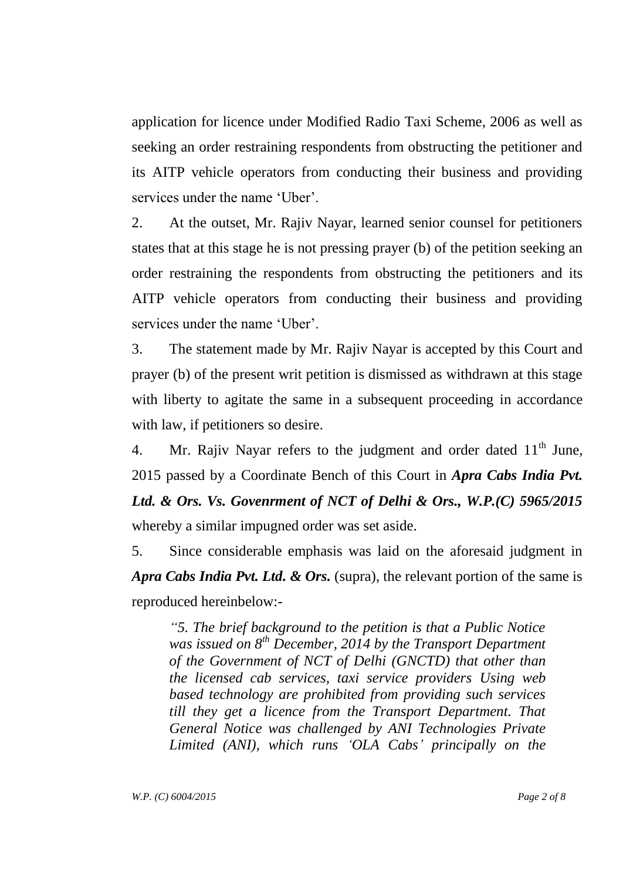application for licence under Modified Radio Taxi Scheme, 2006 as well as seeking an order restraining respondents from obstructing the petitioner and its AITP vehicle operators from conducting their business and providing services under the name 'Uber'.

2. At the outset, Mr. Rajiv Nayar, learned senior counsel for petitioners states that at this stage he is not pressing prayer (b) of the petition seeking an order restraining the respondents from obstructing the petitioners and its AITP vehicle operators from conducting their business and providing services under the name 'Uber'.

3. The statement made by Mr. Rajiv Nayar is accepted by this Court and prayer (b) of the present writ petition is dismissed as withdrawn at this stage with liberty to agitate the same in a subsequent proceeding in accordance with law, if petitioners so desire.

4. Mr. Rajiv Nayar refers to the judgment and order dated  $11<sup>th</sup>$  June, 2015 passed by a Coordinate Bench of this Court in *Apra Cabs India Pvt. Ltd. & Ors. Vs. Govenrment of NCT of Delhi & Ors., W.P.(C) 5965/2015* whereby a similar impugned order was set aside.

5. Since considerable emphasis was laid on the aforesaid judgment in *Apra Cabs India Pvt. Ltd. & Ors.* (supra), the relevant portion of the same is reproduced hereinbelow:-

*"5. The brief background to the petition is that a Public Notice was issued on 8th December, 2014 by the Transport Department of the Government of NCT of Delhi (GNCTD) that other than the licensed cab services, taxi service providers Using web based technology are prohibited from providing such services till they get a licence from the Transport Department. That General Notice was challenged by ANI Technologies Private Limited (ANI), which runs "OLA Cabs" principally on the*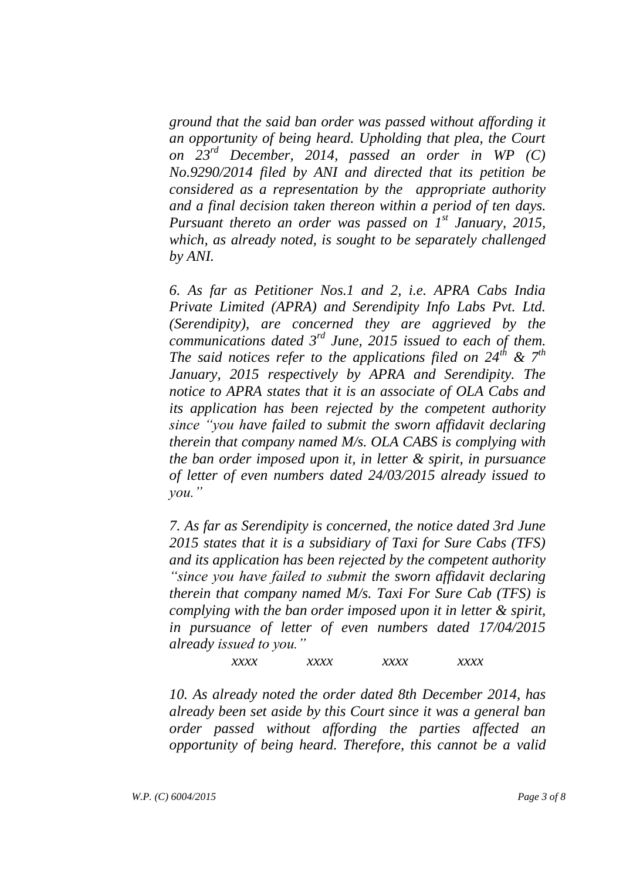*ground that the said ban order was passed without affording it an opportunity of being heard. Upholding that plea, the Court on 23rd December, 2014, passed an order in WP (C) No.9290/2014 filed by ANI and directed that its petition be considered as a representation by the appropriate authority and a final decision taken thereon within a period of ten days. Pursuant thereto an order was passed on 1 st January, 2015, which, as already noted, is sought to be separately challenged by ANI.*

*6. As far as Petitioner Nos.1 and 2, i.e. APRA Cabs India Private Limited (APRA) and Serendipity Info Labs Pvt. Ltd. (Serendipity), are concerned they are aggrieved by the communications dated 3rd June, 2015 issued to each of them. The said notices refer to the applications filed on 24th & 7th January, 2015 respectively by APRA and Serendipity. The notice to APRA states that it is an associate of OLA Cabs and its application has been rejected by the competent authority since "you have failed to submit the sworn affidavit declaring therein that company named M/s. OLA CABS is complying with the ban order imposed upon it, in letter & spirit, in pursuance of letter of even numbers dated 24/03/2015 already issued to you."*

*7. As far as Serendipity is concerned, the notice dated 3rd June 2015 states that it is a subsidiary of Taxi for Sure Cabs (TFS) and its application has been rejected by the competent authority "since you have failed to submit the sworn affidavit declaring therein that company named M/s. Taxi For Sure Cab (TFS) is complying with the ban order imposed upon it in letter & spirit, in pursuance of letter of even numbers dated 17/04/2015 already issued to you."*

*xxxx xxxx xxxx xxxx*

*10. As already noted the order dated 8th December 2014, has already been set aside by this Court since it was a general ban order passed without affording the parties affected an opportunity of being heard. Therefore, this cannot be a valid*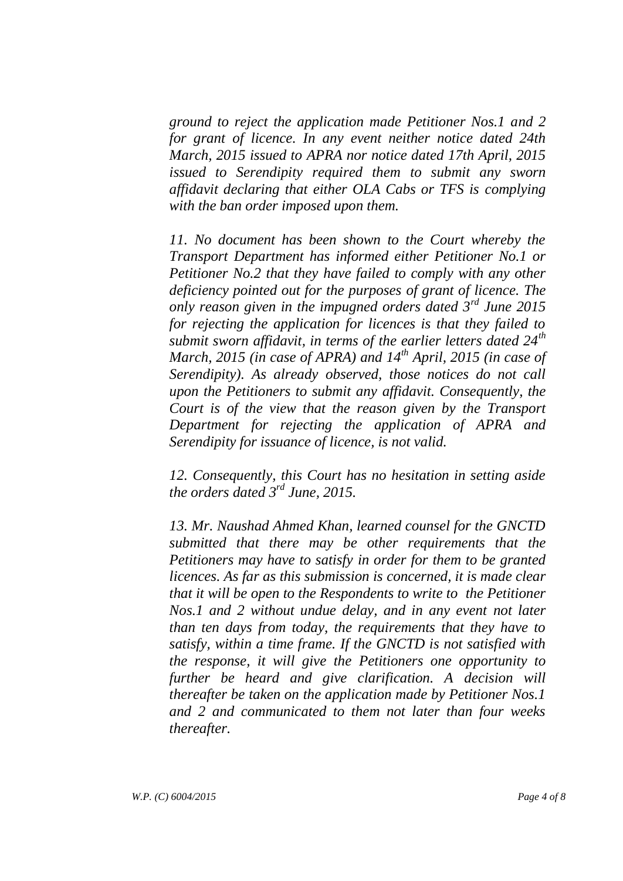*ground to reject the application made Petitioner Nos.1 and 2 for grant of licence. In any event neither notice dated 24th March, 2015 issued to APRA nor notice dated 17th April, 2015 issued to Serendipity required them to submit any sworn affidavit declaring that either OLA Cabs or TFS is complying with the ban order imposed upon them.*

*11. No document has been shown to the Court whereby the Transport Department has informed either Petitioner No.1 or Petitioner No.2 that they have failed to comply with any other deficiency pointed out for the purposes of grant of licence. The only reason given in the impugned orders dated 3rd June 2015 for rejecting the application for licences is that they failed to submit sworn affidavit, in terms of the earlier letters dated 24th March, 2015 (in case of APRA) and 14th April, 2015 (in case of Serendipity). As already observed, those notices do not call upon the Petitioners to submit any affidavit. Consequently, the Court is of the view that the reason given by the Transport Department for rejecting the application of APRA and Serendipity for issuance of licence, is not valid.*

*12. Consequently, this Court has no hesitation in setting aside the orders dated 3rd June, 2015.*

*13. Mr. Naushad Ahmed Khan, learned counsel for the GNCTD submitted that there may be other requirements that the Petitioners may have to satisfy in order for them to be granted licences. As far as this submission is concerned, it is made clear that it will be open to the Respondents to write to the Petitioner Nos.1 and 2 without undue delay, and in any event not later than ten days from today, the requirements that they have to satisfy, within a time frame. If the GNCTD is not satisfied with the response, it will give the Petitioners one opportunity to further be heard and give clarification. A decision will thereafter be taken on the application made by Petitioner Nos.1 and 2 and communicated to them not later than four weeks thereafter.*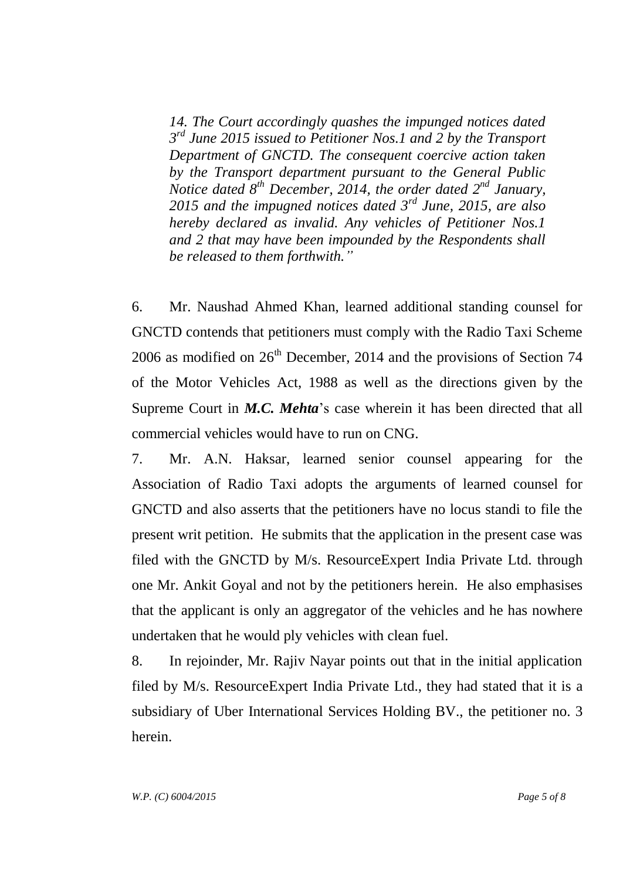*14. The Court accordingly quashes the impunged notices dated 3 rd June 2015 issued to Petitioner Nos.1 and 2 by the Transport Department of GNCTD. The consequent coercive action taken by the Transport department pursuant to the General Public Notice dated 8th December, 2014, the order dated 2nd January, 2015 and the impugned notices dated 3rd June, 2015, are also hereby declared as invalid. Any vehicles of Petitioner Nos.1 and 2 that may have been impounded by the Respondents shall be released to them forthwith."*

6. Mr. Naushad Ahmed Khan, learned additional standing counsel for GNCTD contends that petitioners must comply with the Radio Taxi Scheme 2006 as modified on  $26<sup>th</sup>$  December, 2014 and the provisions of Section 74 of the Motor Vehicles Act, 1988 as well as the directions given by the Supreme Court in *M.C. Mehta*'s case wherein it has been directed that all commercial vehicles would have to run on CNG.

7. Mr. A.N. Haksar, learned senior counsel appearing for the Association of Radio Taxi adopts the arguments of learned counsel for GNCTD and also asserts that the petitioners have no locus standi to file the present writ petition. He submits that the application in the present case was filed with the GNCTD by M/s. ResourceExpert India Private Ltd. through one Mr. Ankit Goyal and not by the petitioners herein. He also emphasises that the applicant is only an aggregator of the vehicles and he has nowhere undertaken that he would ply vehicles with clean fuel.

8. In rejoinder, Mr. Rajiv Nayar points out that in the initial application filed by M/s. ResourceExpert India Private Ltd., they had stated that it is a subsidiary of Uber International Services Holding BV., the petitioner no. 3 herein.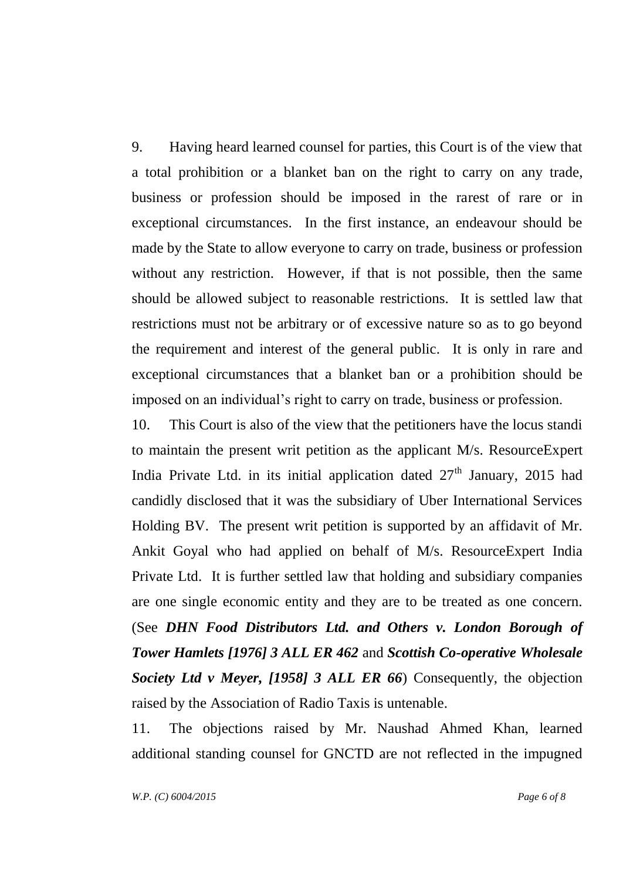9. Having heard learned counsel for parties, this Court is of the view that a total prohibition or a blanket ban on the right to carry on any trade, business or profession should be imposed in the rarest of rare or in exceptional circumstances. In the first instance, an endeavour should be made by the State to allow everyone to carry on trade, business or profession without any restriction. However, if that is not possible, then the same should be allowed subject to reasonable restrictions. It is settled law that restrictions must not be arbitrary or of excessive nature so as to go beyond the requirement and interest of the general public. It is only in rare and exceptional circumstances that a blanket ban or a prohibition should be imposed on an individual's right to carry on trade, business or profession.

10. This Court is also of the view that the petitioners have the locus standi to maintain the present writ petition as the applicant M/s. ResourceExpert India Private Ltd. in its initial application dated  $27<sup>th</sup>$  January, 2015 had candidly disclosed that it was the subsidiary of Uber International Services Holding BV. The present writ petition is supported by an affidavit of Mr. Ankit Goyal who had applied on behalf of M/s. ResourceExpert India Private Ltd. It is further settled law that holding and subsidiary companies are one single economic entity and they are to be treated as one concern. (See *DHN Food Distributors Ltd. and Others v. London Borough of Tower Hamlets [1976] 3 ALL ER 462* and *Scottish Co-operative Wholesale Society Ltd v Meyer, [1958] 3 ALL ER 66*) Consequently, the objection raised by the Association of Radio Taxis is untenable.

11. The objections raised by Mr. Naushad Ahmed Khan, learned additional standing counsel for GNCTD are not reflected in the impugned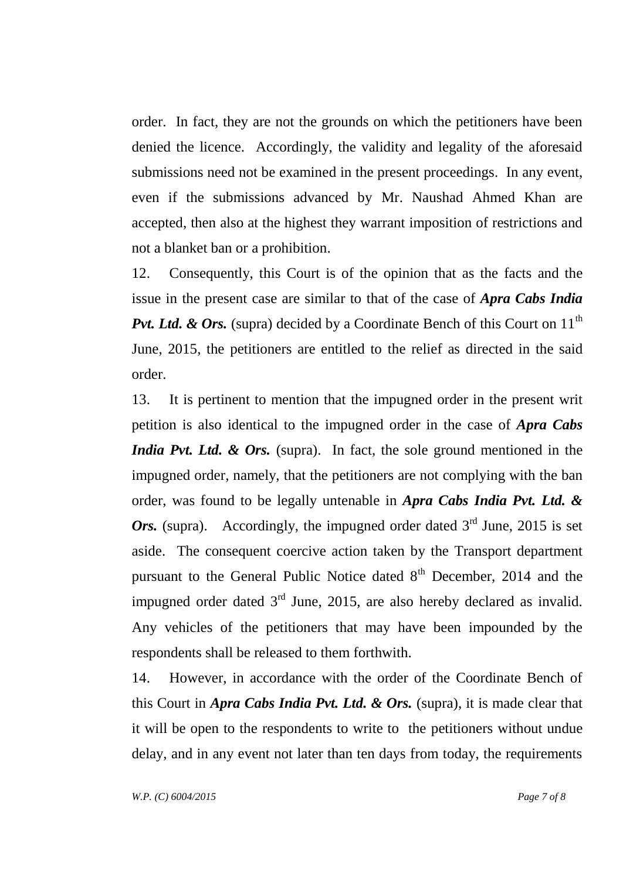order. In fact, they are not the grounds on which the petitioners have been denied the licence. Accordingly, the validity and legality of the aforesaid submissions need not be examined in the present proceedings. In any event, even if the submissions advanced by Mr. Naushad Ahmed Khan are accepted, then also at the highest they warrant imposition of restrictions and not a blanket ban or a prohibition.

12. Consequently, this Court is of the opinion that as the facts and the issue in the present case are similar to that of the case of *Apra Cabs India Pvt. Ltd. & Ors.* (supra) decided by a Coordinate Bench of this Court on 11<sup>th</sup> June, 2015, the petitioners are entitled to the relief as directed in the said order.

13. It is pertinent to mention that the impugned order in the present writ petition is also identical to the impugned order in the case of *Apra Cabs India Pvt. Ltd. & Ors.* (supra). In fact, the sole ground mentioned in the impugned order, namely, that the petitioners are not complying with the ban order, was found to be legally untenable in *Apra Cabs India Pvt. Ltd. & Ors.* (supra). Accordingly, the impugned order dated  $3<sup>rd</sup>$  June, 2015 is set aside. The consequent coercive action taken by the Transport department pursuant to the General Public Notice dated  $8<sup>th</sup>$  December, 2014 and the impugned order dated  $3<sup>rd</sup>$  June, 2015, are also hereby declared as invalid. Any vehicles of the petitioners that may have been impounded by the respondents shall be released to them forthwith.

14. However, in accordance with the order of the Coordinate Bench of this Court in *Apra Cabs India Pvt. Ltd. & Ors.* (supra), it is made clear that it will be open to the respondents to write to the petitioners without undue delay, and in any event not later than ten days from today, the requirements